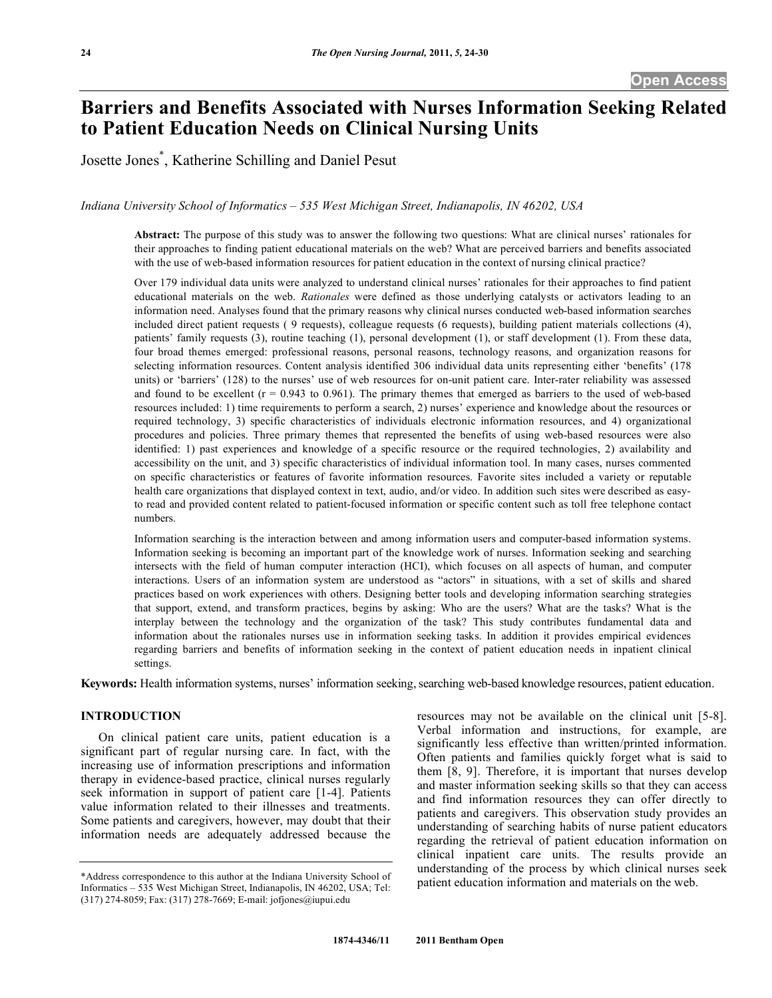# **Barriers and Benefits Associated with Nurses Information Seeking Related to Patient Education Needs on Clinical Nursing Units**

Josette Jones\* , Katherine Schilling and Daniel Pesut

*Indiana University School of Informatics – 535 West Michigan Street, Indianapolis, IN 46202, USA* 

**Abstract:** The purpose of this study was to answer the following two questions: What are clinical nurses' rationales for their approaches to finding patient educational materials on the web? What are perceived barriers and benefits associated with the use of web-based information resources for patient education in the context of nursing clinical practice?

Over 179 individual data units were analyzed to understand clinical nurses' rationales for their approaches to find patient educational materials on the web. *Rationales* were defined as those underlying catalysts or activators leading to an information need. Analyses found that the primary reasons why clinical nurses conducted web-based information searches included direct patient requests ( 9 requests), colleague requests (6 requests), building patient materials collections (4), patients' family requests (3), routine teaching (1), personal development (1), or staff development (1). From these data, four broad themes emerged: professional reasons, personal reasons, technology reasons, and organization reasons for selecting information resources. Content analysis identified 306 individual data units representing either 'benefits' (178 units) or 'barriers' (128) to the nurses' use of web resources for on-unit patient care. Inter-rater reliability was assessed and found to be excellent  $(r = 0.943$  to 0.961). The primary themes that emerged as barriers to the used of web-based resources included: 1) time requirements to perform a search, 2) nurses' experience and knowledge about the resources or required technology, 3) specific characteristics of individuals electronic information resources, and 4) organizational procedures and policies. Three primary themes that represented the benefits of using web-based resources were also identified: 1) past experiences and knowledge of a specific resource or the required technologies, 2) availability and accessibility on the unit, and 3) specific characteristics of individual information tool. In many cases, nurses commented on specific characteristics or features of favorite information resources. Favorite sites included a variety or reputable health care organizations that displayed context in text, audio, and/or video. In addition such sites were described as easyto read and provided content related to patient-focused information or specific content such as toll free telephone contact numbers.

Information searching is the interaction between and among information users and computer-based information systems. Information seeking is becoming an important part of the knowledge work of nurses. Information seeking and searching intersects with the field of human computer interaction (HCI), which focuses on all aspects of human, and computer interactions. Users of an information system are understood as "actors" in situations, with a set of skills and shared practices based on work experiences with others. Designing better tools and developing information searching strategies that support, extend, and transform practices, begins by asking: Who are the users? What are the tasks? What is the interplay between the technology and the organization of the task? This study contributes fundamental data and information about the rationales nurses use in information seeking tasks. In addition it provides empirical evidences regarding barriers and benefits of information seeking in the context of patient education needs in inpatient clinical settings.

**Keywords:** Health information systems, nurses' information seeking, searching web-based knowledge resources, patient education.

## **INTRODUCTION**

 On clinical patient care units, patient education is a significant part of regular nursing care. In fact, with the increasing use of information prescriptions and information therapy in evidence-based practice, clinical nurses regularly seek information in support of patient care [1-4]. Patients value information related to their illnesses and treatments. Some patients and caregivers, however, may doubt that their information needs are adequately addressed because the

resources may not be available on the clinical unit [5-8]. Verbal information and instructions, for example, are significantly less effective than written/printed information. Often patients and families quickly forget what is said to them [8, 9]. Therefore, it is important that nurses develop and master information seeking skills so that they can access and find information resources they can offer directly to patients and caregivers. This observation study provides an understanding of searching habits of nurse patient educators regarding the retrieval of patient education information on clinical inpatient care units. The results provide an understanding of the process by which clinical nurses seek patient education information and materials on the web.

<sup>\*</sup>Address correspondence to this author at the Indiana University School of Informatics – 535 West Michigan Street, Indianapolis, IN 46202, USA; Tel: (317) 274-8059; Fax: (317) 278-7669; E-mail: jofjones@iupui.edu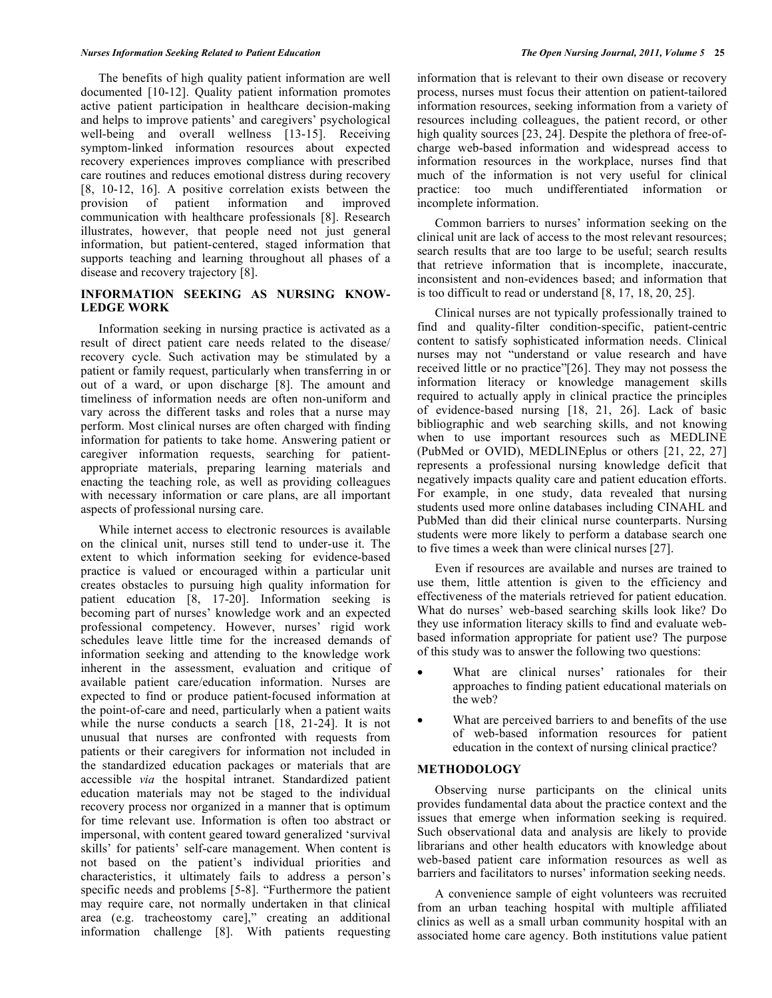The benefits of high quality patient information are well documented [10-12]. Quality patient information promotes active patient participation in healthcare decision-making and helps to improve patients' and caregivers' psychological well-being and overall wellness [13-15]. Receiving symptom-linked information resources about expected recovery experiences improves compliance with prescribed care routines and reduces emotional distress during recovery [8, 10-12, 16]. A positive correlation exists between the provision of patient information and improved communication with healthcare professionals [8]. Research illustrates, however, that people need not just general information, but patient-centered, staged information that supports teaching and learning throughout all phases of a disease and recovery trajectory [8].

## **INFORMATION SEEKING AS NURSING KNOW-LEDGE WORK**

 Information seeking in nursing practice is activated as a result of direct patient care needs related to the disease/ recovery cycle. Such activation may be stimulated by a patient or family request, particularly when transferring in or out of a ward, or upon discharge [8]. The amount and timeliness of information needs are often non-uniform and vary across the different tasks and roles that a nurse may perform. Most clinical nurses are often charged with finding information for patients to take home. Answering patient or caregiver information requests, searching for patientappropriate materials, preparing learning materials and enacting the teaching role, as well as providing colleagues with necessary information or care plans, are all important aspects of professional nursing care.

 While internet access to electronic resources is available on the clinical unit, nurses still tend to under-use it. The extent to which information seeking for evidence-based practice is valued or encouraged within a particular unit creates obstacles to pursuing high quality information for patient education [8, 17-20]. Information seeking is becoming part of nurses' knowledge work and an expected professional competency. However, nurses' rigid work schedules leave little time for the increased demands of information seeking and attending to the knowledge work inherent in the assessment, evaluation and critique of available patient care/education information. Nurses are expected to find or produce patient-focused information at the point-of-care and need, particularly when a patient waits while the nurse conducts a search [18, 21-24]. It is not unusual that nurses are confronted with requests from patients or their caregivers for information not included in the standardized education packages or materials that are accessible *via* the hospital intranet. Standardized patient education materials may not be staged to the individual recovery process nor organized in a manner that is optimum for time relevant use. Information is often too abstract or impersonal, with content geared toward generalized 'survival skills' for patients' self-care management. When content is not based on the patient's individual priorities and characteristics, it ultimately fails to address a person's specific needs and problems [5-8]. "Furthermore the patient may require care, not normally undertaken in that clinical area (e.g. tracheostomy care]," creating an additional information challenge [8]. With patients requesting information that is relevant to their own disease or recovery process, nurses must focus their attention on patient-tailored information resources, seeking information from a variety of resources including colleagues, the patient record, or other high quality sources [23, 24]. Despite the plethora of free-ofcharge web-based information and widespread access to information resources in the workplace, nurses find that much of the information is not very useful for clinical practice: too much undifferentiated information or incomplete information.

 Common barriers to nurses' information seeking on the clinical unit are lack of access to the most relevant resources; search results that are too large to be useful; search results that retrieve information that is incomplete, inaccurate, inconsistent and non-evidences based; and information that is too difficult to read or understand [8, 17, 18, 20, 25].

 Clinical nurses are not typically professionally trained to find and quality-filter condition-specific, patient-centric content to satisfy sophisticated information needs. Clinical nurses may not "understand or value research and have received little or no practice"[26]. They may not possess the information literacy or knowledge management skills required to actually apply in clinical practice the principles of evidence-based nursing [18, 21, 26]. Lack of basic bibliographic and web searching skills, and not knowing when to use important resources such as MEDLINE (PubMed or OVID), MEDLINEplus or others [21, 22, 27] represents a professional nursing knowledge deficit that negatively impacts quality care and patient education efforts. For example, in one study, data revealed that nursing students used more online databases including CINAHL and PubMed than did their clinical nurse counterparts. Nursing students were more likely to perform a database search one to five times a week than were clinical nurses [27].

 Even if resources are available and nurses are trained to use them, little attention is given to the efficiency and effectiveness of the materials retrieved for patient education. What do nurses' web-based searching skills look like? Do they use information literacy skills to find and evaluate webbased information appropriate for patient use? The purpose of this study was to answer the following two questions:

- What are clinical nurses' rationales for their approaches to finding patient educational materials on the web?
- What are perceived barriers to and benefits of the use of web-based information resources for patient education in the context of nursing clinical practice?

## **METHODOLOGY**

Observing nurse participants on the clinical units provides fundamental data about the practice context and the issues that emerge when information seeking is required. Such observational data and analysis are likely to provide librarians and other health educators with knowledge about web-based patient care information resources as well as barriers and facilitators to nurses' information seeking needs.

 A convenience sample of eight volunteers was recruited from an urban teaching hospital with multiple affiliated clinics as well as a small urban community hospital with an associated home care agency. Both institutions value patient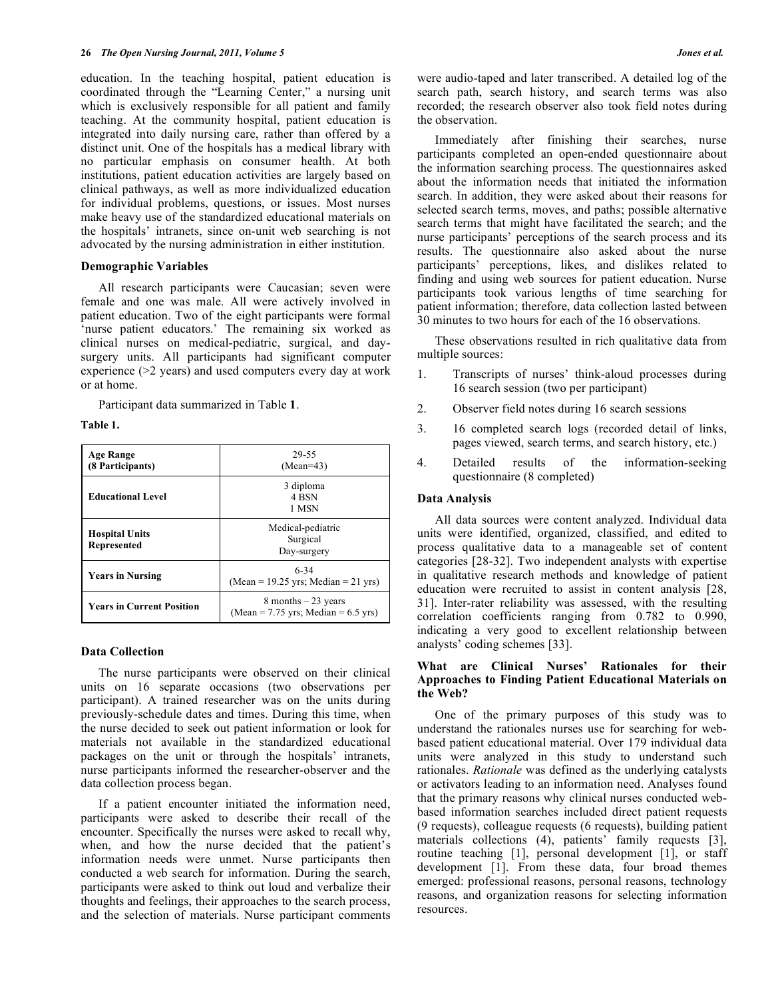education. In the teaching hospital, patient education is coordinated through the "Learning Center," a nursing unit which is exclusively responsible for all patient and family teaching. At the community hospital, patient education is integrated into daily nursing care, rather than offered by a distinct unit. One of the hospitals has a medical library with no particular emphasis on consumer health. At both institutions, patient education activities are largely based on clinical pathways, as well as more individualized education for individual problems, questions, or issues. Most nurses make heavy use of the standardized educational materials on the hospitals' intranets, since on-unit web searching is not advocated by the nursing administration in either institution.

## **Demographic Variables**

 All research participants were Caucasian; seven were female and one was male. All were actively involved in patient education. Two of the eight participants were formal 'nurse patient educators.' The remaining six worked as clinical nurses on medical-pediatric, surgical, and daysurgery units. All participants had significant computer experience (>2 years) and used computers every day at work or at home.

Participant data summarized in Table **1**.

**Table 1.** 

| Age Range<br>(8 Participants)        | 29-55<br>$(Mean=43)$                                            |
|--------------------------------------|-----------------------------------------------------------------|
| <b>Educational Level</b>             | 3 diploma<br>4 BSN<br>1 MSN                                     |
| <b>Hospital Units</b><br>Represented | Medical-pediatric<br>Surgical<br>Day-surgery                    |
| <b>Years in Nursing</b>              | $6 - 34$<br>(Mean = 19.25 yrs; Median = 21 yrs)                 |
| <b>Years in Current Position</b>     | 8 months $-23$ years<br>(Mean = $7.75$ yrs; Median = $6.5$ yrs) |

### **Data Collection**

 The nurse participants were observed on their clinical units on 16 separate occasions (two observations per participant). A trained researcher was on the units during previously-schedule dates and times. During this time, when the nurse decided to seek out patient information or look for materials not available in the standardized educational packages on the unit or through the hospitals' intranets, nurse participants informed the researcher-observer and the data collection process began.

 If a patient encounter initiated the information need, participants were asked to describe their recall of the encounter. Specifically the nurses were asked to recall why, when, and how the nurse decided that the patient's information needs were unmet. Nurse participants then conducted a web search for information. During the search, participants were asked to think out loud and verbalize their thoughts and feelings, their approaches to the search process, and the selection of materials. Nurse participant comments

were audio-taped and later transcribed. A detailed log of the search path, search history, and search terms was also recorded; the research observer also took field notes during the observation.

 Immediately after finishing their searches, nurse participants completed an open-ended questionnaire about the information searching process. The questionnaires asked about the information needs that initiated the information search. In addition, they were asked about their reasons for selected search terms, moves, and paths; possible alternative search terms that might have facilitated the search; and the nurse participants' perceptions of the search process and its results. The questionnaire also asked about the nurse participants' perceptions, likes, and dislikes related to finding and using web sources for patient education. Nurse participants took various lengths of time searching for patient information; therefore, data collection lasted between 30 minutes to two hours for each of the 16 observations.

 These observations resulted in rich qualitative data from multiple sources:

- 1. Transcripts of nurses' think-aloud processes during 16 search session (two per participant)
- 2. Observer field notes during 16 search sessions
- 3. 16 completed search logs (recorded detail of links, pages viewed, search terms, and search history, etc.)
- 4. Detailed results of the information-seeking questionnaire (8 completed)

## **Data Analysis**

 All data sources were content analyzed. Individual data units were identified, organized, classified, and edited to process qualitative data to a manageable set of content categories [28-32]. Two independent analysts with expertise in qualitative research methods and knowledge of patient education were recruited to assist in content analysis [28, 31]. Inter-rater reliability was assessed, with the resulting correlation coefficients ranging from 0.782 to 0.990, indicating a very good to excellent relationship between analysts' coding schemes [33].

## **What are Clinical Nurses' Rationales for their Approaches to Finding Patient Educational Materials on the Web?**

 One of the primary purposes of this study was to understand the rationales nurses use for searching for webbased patient educational material. Over 179 individual data units were analyzed in this study to understand such rationales. *Rationale* was defined as the underlying catalysts or activators leading to an information need. Analyses found that the primary reasons why clinical nurses conducted webbased information searches included direct patient requests (9 requests), colleague requests (6 requests), building patient materials collections (4), patients' family requests [3], routine teaching [1], personal development [1], or staff development [1]. From these data, four broad themes emerged: professional reasons, personal reasons, technology reasons, and organization reasons for selecting information resources.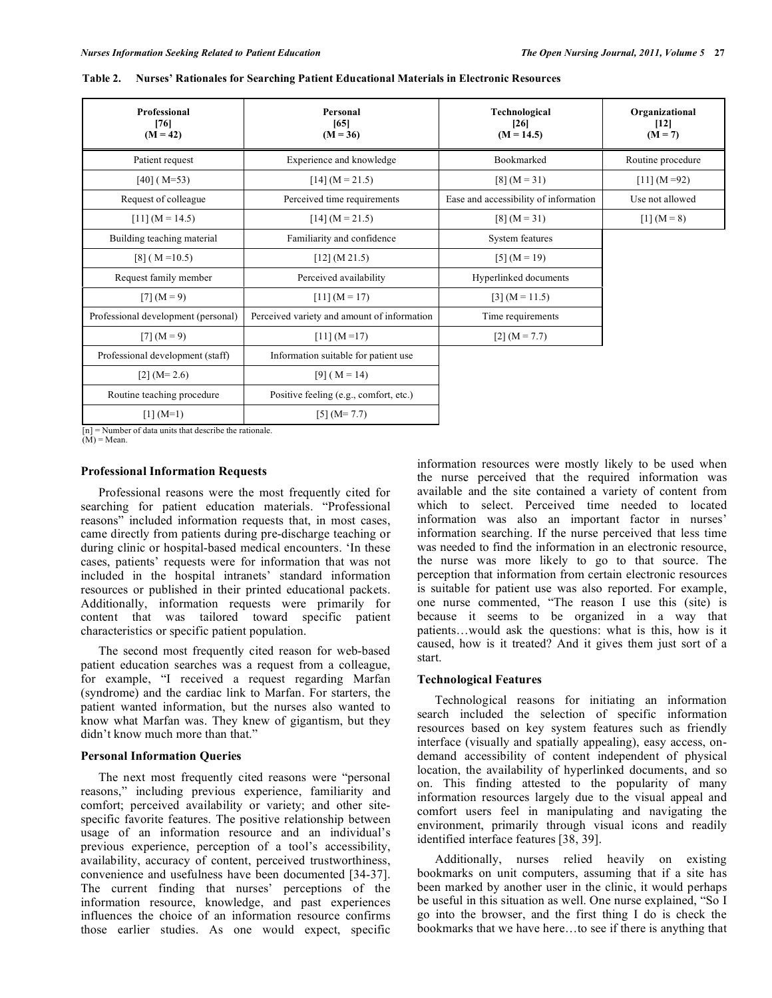| Professional<br>[76]<br>$(M = 42)$  | Personal<br>[65]<br>$(M = 36)$              | Technological<br>[26]<br>$(M = 14.5)$ | Organizational<br>[12]<br>$(M = 7)$ |
|-------------------------------------|---------------------------------------------|---------------------------------------|-------------------------------------|
| Patient request                     | Experience and knowledge                    | Bookmarked                            | Routine procedure                   |
| $[40]$ (M=53)                       | $[14] (M = 21.5)$                           | $[8] (M = 31)$                        | $[11] (M = 92)$                     |
| Request of colleague                | Perceived time requirements                 | Ease and accessibility of information | Use not allowed                     |
| $[11] (M = 14.5)$                   | $[14] (M = 21.5)$                           | $[8] (M = 31)$                        | $[1] (M = 8)$                       |
| Building teaching material          | Familiarity and confidence                  | System features                       |                                     |
| $[8]$ (M = 10.5)                    | [12] (M 21.5)                               | $[5] (M = 19)$                        |                                     |
| Request family member               | Perceived availability                      | Hyperlinked documents                 |                                     |
| $[7] (M = 9)$                       | $[11] (M = 17)$                             | $[3] (M = 11.5)$                      |                                     |
| Professional development (personal) | Perceived variety and amount of information | Time requirements                     |                                     |
| $[7] (M = 9)$                       | $[11] (M = 17)$                             | $[2] (M = 7.7)$                       |                                     |
| Professional development (staff)    | Information suitable for patient use        |                                       |                                     |
| $[2] (M=2.6)$                       | $[9] (M = 14)$                              |                                       |                                     |
| Routine teaching procedure          | Positive feeling (e.g., comfort, etc.)      |                                       |                                     |
| $[1] (M=1)$                         | $[5] (M=7.7)$                               |                                       |                                     |

**Table 2. Nurses' Rationales for Searching Patient Educational Materials in Electronic Resources** 

 $[n]$  = Number of data units that describe the rationale.

 $(M)$  = Mean.

#### **Professional Information Requests**

 Professional reasons were the most frequently cited for searching for patient education materials. "Professional reasons" included information requests that, in most cases, came directly from patients during pre-discharge teaching or during clinic or hospital-based medical encounters. 'In these cases, patients' requests were for information that was not included in the hospital intranets' standard information resources or published in their printed educational packets. Additionally, information requests were primarily for content that was tailored toward specific patient characteristics or specific patient population.

 The second most frequently cited reason for web-based patient education searches was a request from a colleague, for example, "I received a request regarding Marfan (syndrome) and the cardiac link to Marfan. For starters, the patient wanted information, but the nurses also wanted to know what Marfan was. They knew of gigantism, but they didn't know much more than that."

#### **Personal Information Queries**

 The next most frequently cited reasons were "personal reasons," including previous experience, familiarity and comfort; perceived availability or variety; and other sitespecific favorite features. The positive relationship between usage of an information resource and an individual's previous experience, perception of a tool's accessibility, availability, accuracy of content, perceived trustworthiness, convenience and usefulness have been documented [34-37]. The current finding that nurses' perceptions of the information resource, knowledge, and past experiences influences the choice of an information resource confirms those earlier studies. As one would expect, specific

information resources were mostly likely to be used when the nurse perceived that the required information was available and the site contained a variety of content from which to select. Perceived time needed to located information was also an important factor in nurses' information searching. If the nurse perceived that less time was needed to find the information in an electronic resource, the nurse was more likely to go to that source. The perception that information from certain electronic resources is suitable for patient use was also reported. For example, one nurse commented, "The reason I use this (site) is because it seems to be organized in a way that patients…would ask the questions: what is this, how is it caused, how is it treated? And it gives them just sort of a start.

#### **Technological Features**

 Technological reasons for initiating an information search included the selection of specific information resources based on key system features such as friendly interface (visually and spatially appealing), easy access, ondemand accessibility of content independent of physical location, the availability of hyperlinked documents, and so on. This finding attested to the popularity of many information resources largely due to the visual appeal and comfort users feel in manipulating and navigating the environment, primarily through visual icons and readily identified interface features [38, 39].

 Additionally, nurses relied heavily on existing bookmarks on unit computers, assuming that if a site has been marked by another user in the clinic, it would perhaps be useful in this situation as well. One nurse explained, "So I go into the browser, and the first thing I do is check the bookmarks that we have here…to see if there is anything that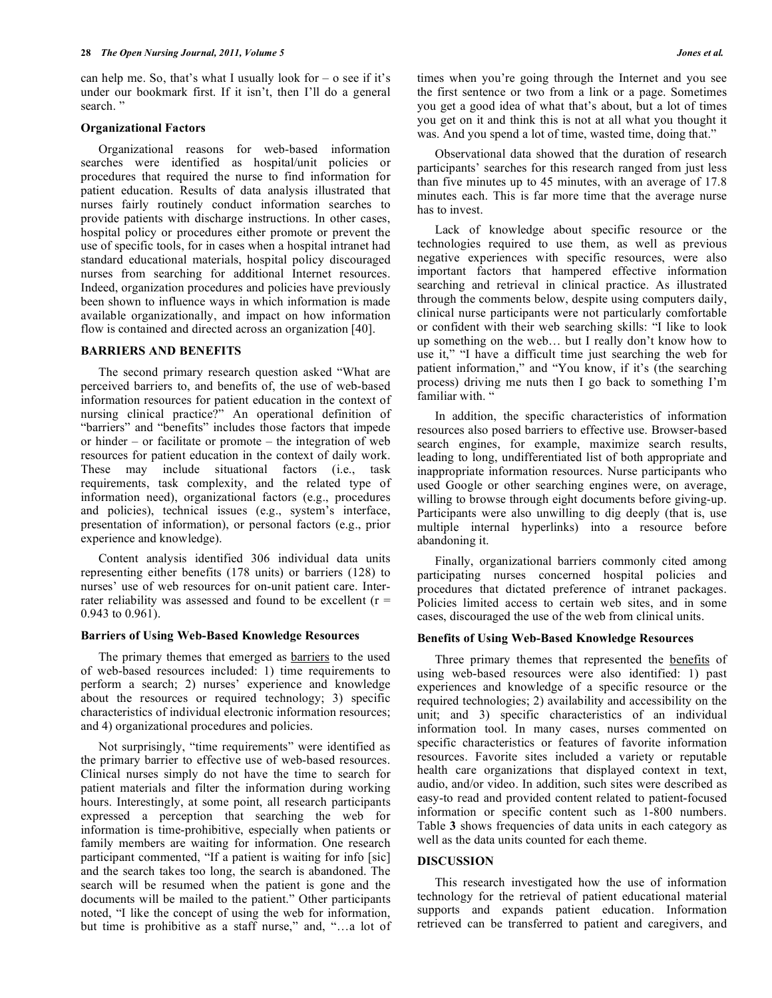can help me. So, that's what I usually look for  $-$  o see if it's under our bookmark first. If it isn't, then I'll do a general search."

#### **Organizational Factors**

 Organizational reasons for web-based information searches were identified as hospital/unit policies or procedures that required the nurse to find information for patient education. Results of data analysis illustrated that nurses fairly routinely conduct information searches to provide patients with discharge instructions. In other cases, hospital policy or procedures either promote or prevent the use of specific tools, for in cases when a hospital intranet had standard educational materials, hospital policy discouraged nurses from searching for additional Internet resources. Indeed, organization procedures and policies have previously been shown to influence ways in which information is made available organizationally, and impact on how information flow is contained and directed across an organization [40].

## **BARRIERS AND BENEFITS**

 The second primary research question asked "What are perceived barriers to, and benefits of, the use of web-based information resources for patient education in the context of nursing clinical practice?" An operational definition of "barriers" and "benefits" includes those factors that impede or hinder – or facilitate or promote – the integration of web resources for patient education in the context of daily work. These may include situational factors (i.e., task requirements, task complexity, and the related type of information need), organizational factors (e.g., procedures and policies), technical issues (e.g., system's interface, presentation of information), or personal factors (e.g., prior experience and knowledge).

 Content analysis identified 306 individual data units representing either benefits (178 units) or barriers (128) to nurses' use of web resources for on-unit patient care. Interrater reliability was assessed and found to be excellent  $(r =$ 0.943 to 0.961).

### **Barriers of Using Web-Based Knowledge Resources**

The primary themes that emerged as **barriers** to the used of web-based resources included: 1) time requirements to perform a search; 2) nurses' experience and knowledge about the resources or required technology; 3) specific characteristics of individual electronic information resources; and 4) organizational procedures and policies.

 Not surprisingly, "time requirements" were identified as the primary barrier to effective use of web-based resources. Clinical nurses simply do not have the time to search for patient materials and filter the information during working hours. Interestingly, at some point, all research participants expressed a perception that searching the web for information is time-prohibitive, especially when patients or family members are waiting for information. One research participant commented, "If a patient is waiting for info [sic] and the search takes too long, the search is abandoned. The search will be resumed when the patient is gone and the documents will be mailed to the patient." Other participants noted, "I like the concept of using the web for information, but time is prohibitive as a staff nurse," and, "…a lot of times when you're going through the Internet and you see the first sentence or two from a link or a page. Sometimes you get a good idea of what that's about, but a lot of times you get on it and think this is not at all what you thought it was. And you spend a lot of time, wasted time, doing that."

 Observational data showed that the duration of research participants' searches for this research ranged from just less than five minutes up to 45 minutes, with an average of 17.8 minutes each. This is far more time that the average nurse has to invest.

 Lack of knowledge about specific resource or the technologies required to use them, as well as previous negative experiences with specific resources, were also important factors that hampered effective information searching and retrieval in clinical practice. As illustrated through the comments below, despite using computers daily, clinical nurse participants were not particularly comfortable or confident with their web searching skills: "I like to look up something on the web… but I really don't know how to use it," "I have a difficult time just searching the web for patient information," and "You know, if it's (the searching process) driving me nuts then I go back to something I'm familiar with. "

 In addition, the specific characteristics of information resources also posed barriers to effective use. Browser-based search engines, for example, maximize search results, leading to long, undifferentiated list of both appropriate and inappropriate information resources. Nurse participants who used Google or other searching engines were, on average, willing to browse through eight documents before giving-up. Participants were also unwilling to dig deeply (that is, use multiple internal hyperlinks) into a resource before abandoning it.

 Finally, organizational barriers commonly cited among participating nurses concerned hospital policies and procedures that dictated preference of intranet packages. Policies limited access to certain web sites, and in some cases, discouraged the use of the web from clinical units.

## **Benefits of Using Web-Based Knowledge Resources**

 Three primary themes that represented the benefits of using web-based resources were also identified: 1) past experiences and knowledge of a specific resource or the required technologies; 2) availability and accessibility on the unit; and 3) specific characteristics of an individual information tool. In many cases, nurses commented on specific characteristics or features of favorite information resources. Favorite sites included a variety or reputable health care organizations that displayed context in text, audio, and/or video. In addition, such sites were described as easy-to read and provided content related to patient-focused information or specific content such as 1-800 numbers. Table **3** shows frequencies of data units in each category as well as the data units counted for each theme.

#### **DISCUSSION**

This research investigated how the use of information technology for the retrieval of patient educational material supports and expands patient education. Information retrieved can be transferred to patient and caregivers, and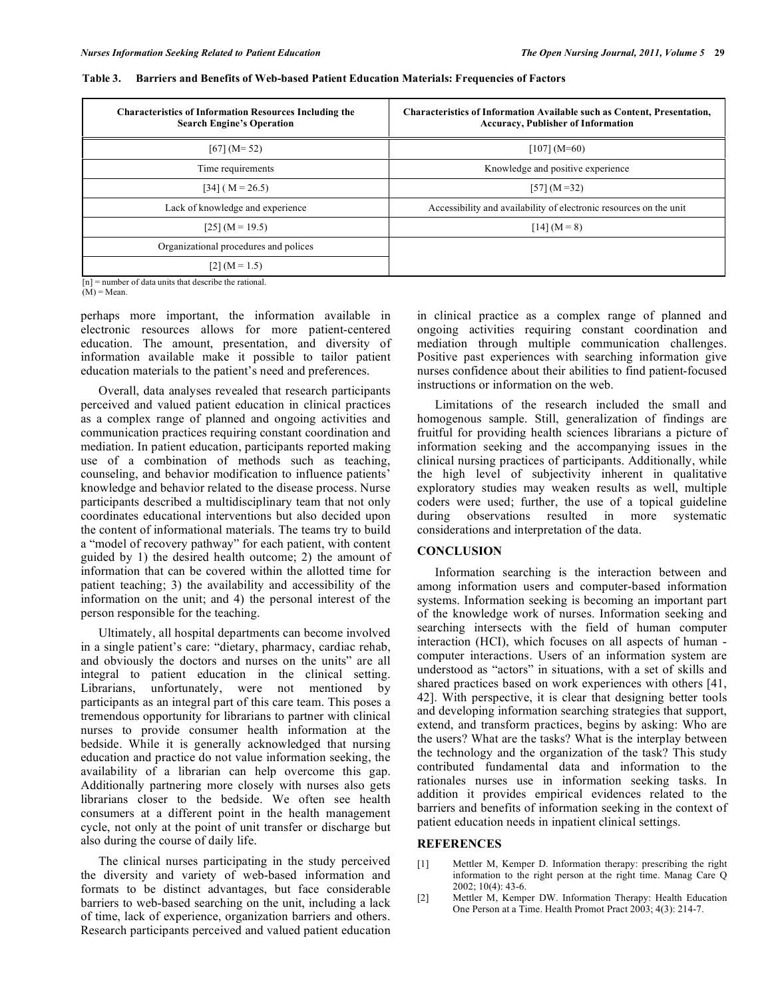| <b>Characteristics of Information Resources Including the</b><br><b>Search Engine's Operation</b> | <b>Characteristics of Information Available such as Content, Presentation,</b><br><b>Accuracy, Publisher of Information</b> |
|---------------------------------------------------------------------------------------------------|-----------------------------------------------------------------------------------------------------------------------------|
| $[67] (M = 52)$                                                                                   | $[107] (M=60)$                                                                                                              |
| Time requirements                                                                                 | Knowledge and positive experience                                                                                           |
| $[34]$ (M = 26.5)                                                                                 | $[57] (M = 32)$                                                                                                             |
| Lack of knowledge and experience                                                                  | Accessibility and availability of electronic resources on the unit                                                          |
| $[25] (M = 19.5)$                                                                                 | $[14] (M = 8)$                                                                                                              |
| Organizational procedures and polices                                                             |                                                                                                                             |
| $[2] (M = 1.5)$                                                                                   |                                                                                                                             |
| $[n]$ = number of data units that describe the rational.                                          |                                                                                                                             |

#### **Table 3. Barriers and Benefits of Web-based Patient Education Materials: Frequencies of Factors**

 $(M)$  = Mean.

perhaps more important, the information available in electronic resources allows for more patient-centered education. The amount, presentation, and diversity of information available make it possible to tailor patient education materials to the patient's need and preferences.

 Overall, data analyses revealed that research participants perceived and valued patient education in clinical practices as a complex range of planned and ongoing activities and communication practices requiring constant coordination and mediation. In patient education, participants reported making use of a combination of methods such as teaching, counseling, and behavior modification to influence patients' knowledge and behavior related to the disease process. Nurse participants described a multidisciplinary team that not only coordinates educational interventions but also decided upon the content of informational materials. The teams try to build a "model of recovery pathway" for each patient, with content guided by 1) the desired health outcome; 2) the amount of information that can be covered within the allotted time for patient teaching; 3) the availability and accessibility of the information on the unit; and 4) the personal interest of the person responsible for the teaching.

 Ultimately, all hospital departments can become involved in a single patient's care: "dietary, pharmacy, cardiac rehab, and obviously the doctors and nurses on the units" are all integral to patient education in the clinical setting. Librarians, unfortunately, were not mentioned by participants as an integral part of this care team. This poses a tremendous opportunity for librarians to partner with clinical nurses to provide consumer health information at the bedside. While it is generally acknowledged that nursing education and practice do not value information seeking, the availability of a librarian can help overcome this gap. Additionally partnering more closely with nurses also gets librarians closer to the bedside. We often see health consumers at a different point in the health management cycle, not only at the point of unit transfer or discharge but also during the course of daily life.

 The clinical nurses participating in the study perceived the diversity and variety of web-based information and formats to be distinct advantages, but face considerable barriers to web-based searching on the unit, including a lack of time, lack of experience, organization barriers and others. Research participants perceived and valued patient education

in clinical practice as a complex range of planned and ongoing activities requiring constant coordination and mediation through multiple communication challenges. Positive past experiences with searching information give nurses confidence about their abilities to find patient-focused instructions or information on the web.

 Limitations of the research included the small and homogenous sample. Still, generalization of findings are fruitful for providing health sciences librarians a picture of information seeking and the accompanying issues in the clinical nursing practices of participants. Additionally, while the high level of subjectivity inherent in qualitative exploratory studies may weaken results as well, multiple coders were used; further, the use of a topical guideline during observations resulted in more systematic considerations and interpretation of the data.

#### **CONCLUSION**

 Information searching is the interaction between and among information users and computer-based information systems. Information seeking is becoming an important part of the knowledge work of nurses. Information seeking and searching intersects with the field of human computer interaction (HCI), which focuses on all aspects of human computer interactions. Users of an information system are understood as "actors" in situations, with a set of skills and shared practices based on work experiences with others [41, 42]. With perspective, it is clear that designing better tools and developing information searching strategies that support, extend, and transform practices, begins by asking: Who are the users? What are the tasks? What is the interplay between the technology and the organization of the task? This study contributed fundamental data and information to the rationales nurses use in information seeking tasks. In addition it provides empirical evidences related to the barriers and benefits of information seeking in the context of patient education needs in inpatient clinical settings.

# **REFERENCES**

- [1] Mettler M, Kemper D. Information therapy: prescribing the right information to the right person at the right time. Manag Care Q 2002; 10(4): 43-6.
- [2] Mettler M, Kemper DW. Information Therapy: Health Education One Person at a Time. Health Promot Pract 2003; 4(3): 214-7.